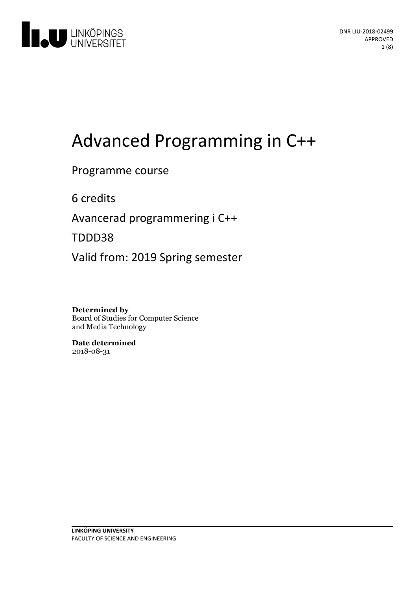

# Advanced Programming in C++

### Programme course

6 credits

Avancerad programmeringi C++

TDDD38

Valid from: 2019 Spring semester

**Determined by** Board of Studies for Computer Science and Media Technology

**Date determined** 2018-08-31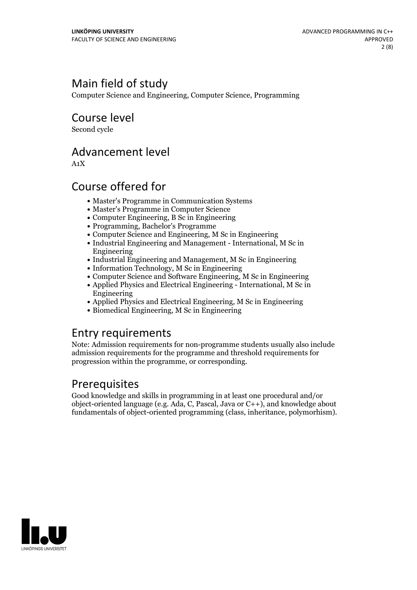# Main field of study

Computer Science and Engineering, Computer Science, Programming

Course level

Second cycle

### Advancement level

A1X

# Course offered for

- Master's Programme in Communication Systems
- Master's Programme in Computer Science
- Computer Engineering, B Sc in Engineering
- Programming, Bachelor's Programme
- Computer Science and Engineering, M Sc in Engineering
- Industrial Engineering and Management International, M Sc in Engineering
- Industrial Engineering and Management, M Sc in Engineering
- Information Technology, M Sc in Engineering
- Computer Science and Software Engineering, M Sc in Engineering
- Applied Physics and Electrical Engineering International, M Sc in Engineering
- Applied Physics and Electrical Engineering, M Sc in Engineering
- Biomedical Engineering, M Sc in Engineering

### Entry requirements

Note: Admission requirements for non-programme students usually also include admission requirements for the programme and threshold requirements for progression within the programme, or corresponding.

### Prerequisites

Good knowledge and skills in programming in at least one procedural and/or object-oriented language (e.g. Ada, C, Pascal, Java or C++), and knowledge about fundamentals of object-oriented programming (class, inheritance, polymorhism).

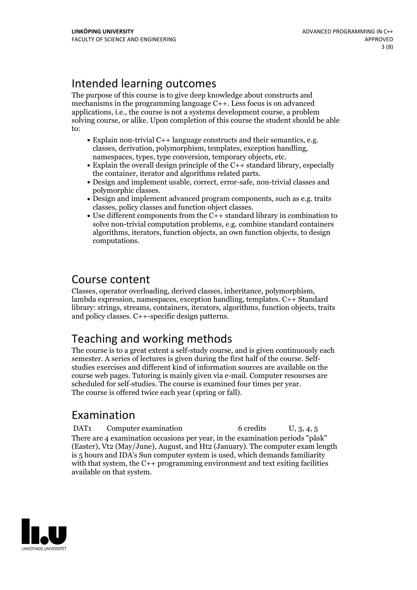# Intended learning outcomes

The purpose of this course is to give deep knowledge about constructs and mechanisms in the programming language C++. Less focus is on advanced applications, i.e., the course is not a systems development course, a problem solving course, or alike. Upon completion of this course the student should be able to:

- Explain non-trivial C++ language constructs and their semantics, e.g. classes, derivation, polymorphism, templates, exception handling, namespaces, types, type conversion, temporary objects, etc.<br>• Explain the overall d
- 
- $\bullet$  Design and implement usable, correct, error-safe, non-trivial classes and polymorphic classes.<br>• Design and implement advanced program components, such as e.g. traits
- 
- classes, policy classes and function object classes. Use different components from the C++ standard library in combination to solve non-trivial computation problems, e.g. combine standard containers algorithms, iterators, function objects, an own function objects, to design computations.

# Course content

Classes, operator overloading, derived classes, inheritance, polymorphism, lambda expression, namespaces, exception handling, templates. C++ Standard library: strings, streams, containers, iterators, algorithms, function objects, traits and policy classes. C++-specific design patterns.

# Teaching and working methods

The course is to a great extent a self-study course, and is given continuously each semester. <sup>A</sup> series of lectures is given during the first half of the course. Self- studies exercises and different kind of information sources are available on the course web pages. Tutoring is mainly given via e-mail. Computer resourses are scheduled for self-studies. The course is examined four times per year. The course is offered twice each year (spring or fall).

# Examination

DAT1 Computer examination 6 credits U, 3, 4, 5 There are 4 examination occasions per year, in the examination periods "påsk" (Easter), Vt2 (May/June), August, and Ht2 (January). The computer exam length is 5 hours and IDA's Sun computer system is used, which demands familiarity with that system, the C++ programming environment and text exiting facilities available on that system.

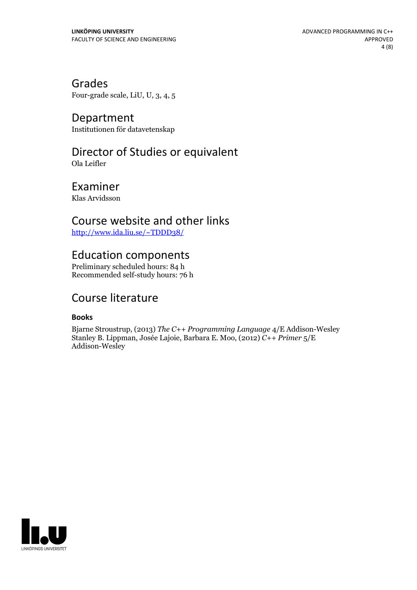Grades Four-grade scale, LiU, U, 3, 4, 5

Department Institutionen för datavetenskap

# Director of Studies or equivalent

Ola Leifler

Examiner Klas Arvidsson

### Course website and other links

<http://www.ida.liu.se/~TDDD38/>

### Education components

Preliminary scheduled hours: 84 h Recommended self-study hours: 76 h

## Course literature

### **Books**

Bjarne Stroustrup, (2013) *The C++ Programming Language* 4/E Addison-Wesley Stanley B. Lippman, Josée Lajoie, Barbara E. Moo, (2012) *C++ Primer* 5/E Addison-Wesley

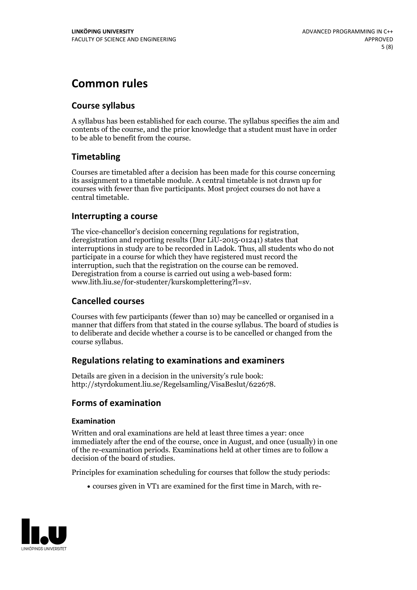# **Common rules**

### **Course syllabus**

A syllabus has been established for each course. The syllabus specifies the aim and contents of the course, and the prior knowledge that a student must have in order to be able to benefit from the course.

### **Timetabling**

Courses are timetabled after a decision has been made for this course concerning its assignment to a timetable module. A central timetable is not drawn up for courses with fewer than five participants. Most project courses do not have a central timetable.

### **Interrupting a course**

The vice-chancellor's decision concerning regulations for registration, deregistration and reporting results (Dnr LiU-2015-01241) states that interruptions in study are to be recorded in Ladok. Thus, all students who do not participate in a course for which they have registered must record the interruption, such that the registration on the course can be removed. Deregistration from <sup>a</sup> course is carried outusing <sup>a</sup> web-based form: www.lith.liu.se/for-studenter/kurskomplettering?l=sv.

### **Cancelled courses**

Courses with few participants (fewer than 10) may be cancelled or organised in a manner that differs from that stated in the course syllabus. The board of studies is to deliberate and decide whether a course is to be cancelled orchanged from the course syllabus.

### **Regulations relatingto examinations and examiners**

Details are given in a decision in the university's rule book: http://styrdokument.liu.se/Regelsamling/VisaBeslut/622678.

### **Forms of examination**

#### **Examination**

Written and oral examinations are held at least three times a year: once immediately after the end of the course, once in August, and once (usually) in one of the re-examination periods. Examinations held at other times are to follow a decision of the board of studies.

Principles for examination scheduling for courses that follow the study periods:

courses given in VT1 are examined for the first time in March, with re-

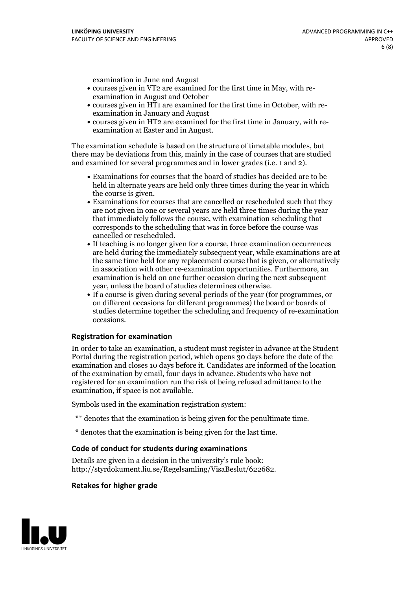examination in June and August

- courses given in VT2 are examined for the first time in May, with re-examination in August and October
- courses given in HT1 are examined for the first time in October, with re-examination in January and August
- courses given in HT2 are examined for the first time in January, with re-examination at Easter and in August.

The examination schedule is based on the structure of timetable modules, but there may be deviations from this, mainly in the case of courses that are studied and examined for several programmes and in lower grades (i.e. 1 and 2).

- Examinations for courses that the board of studies has decided are to be held in alternate years are held only three times during the year in which
- the course is given.<br>• Examinations for courses that are cancelled or rescheduled such that they are not given in one or several years are held three times during the year that immediately follows the course, with examination scheduling that corresponds to the scheduling that was in force before the course was cancelled or rescheduled.<br>• If teaching is no longer given for a course, three examination occurrences
- are held during the immediately subsequent year, while examinations are at the same time held for any replacement course that is given, or alternatively in association with other re-examination opportunities. Furthermore, an examination is held on one further occasion during the next subsequent year, unless the board of studies determines otherwise.<br>• If a course is given during several periods of the year (for programmes, or
- on different occasions for different programmes) the board orboards of studies determine together the scheduling and frequency of re-examination occasions.

#### **Registration for examination**

In order to take an examination, a student must register in advance at the Student Portal during the registration period, which opens 30 days before the date of the examination and closes 10 days before it. Candidates are informed of the location of the examination by email, four days in advance. Students who have not registered for an examination run the risk of being refused admittance to the examination, if space is not available.

Symbols used in the examination registration system:

- \*\* denotes that the examination is being given for the penultimate time.
- \* denotes that the examination is being given for the last time.

#### **Code of conduct for students during examinations**

Details are given in a decision in the university's rule book: http://styrdokument.liu.se/Regelsamling/VisaBeslut/622682.

#### **Retakes for higher grade**

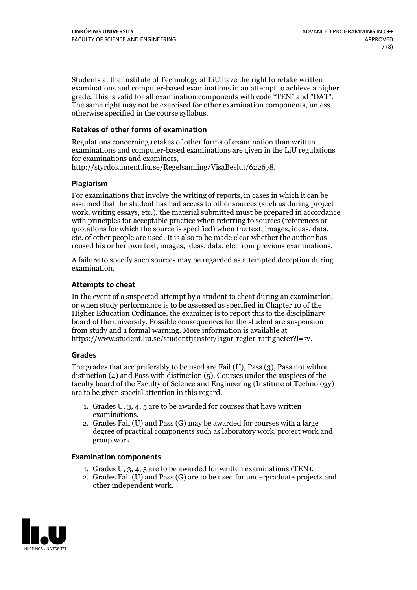Students at the Institute of Technology at LiU have the right to retake written examinations and computer-based examinations in an attempt to achieve a higher grade. This is valid for all examination components with code "TEN" and "DAT". The same right may not be exercised for other examination components, unless otherwise specified in the course syllabus.

### **Retakes of other forms of examination**

Regulations concerning retakes of other forms of examination than written examinations and computer-based examinations are given in the LiU regulations for examinations and examiners, http://styrdokument.liu.se/Regelsamling/VisaBeslut/622678.

#### **Plagiarism**

For examinations that involve the writing of reports, in cases in which it can be assumed that the student has had access to other sources (such as during project work, writing essays, etc.), the material submitted must be prepared in accordance with principles for acceptable practice when referring to sources (references or quotations for which the source is specified) when the text, images, ideas, data, etc. of other people are used. It is also to be made clear whether the author has reused his or her own text, images, ideas, data, etc. from previous examinations.

A failure to specify such sources may be regarded as attempted deception during examination.

#### **Attempts to cheat**

In the event of <sup>a</sup> suspected attempt by <sup>a</sup> student to cheat during an examination, or when study performance is to be assessed as specified in Chapter <sup>10</sup> of the Higher Education Ordinance, the examiner is to report this to the disciplinary board of the university. Possible consequences for the student are suspension from study and a formal warning. More information is available at https://www.student.liu.se/studenttjanster/lagar-regler-rattigheter?l=sv.

#### **Grades**

The grades that are preferably to be used are Fail (U), Pass (3), Pass not without distinction  $(4)$  and Pass with distinction  $(5)$ . Courses under the auspices of the faculty board of the Faculty of Science and Engineering (Institute of Technology) are to be given special attention in this regard.

- 1. Grades U, 3, 4, 5 are to be awarded for courses that have written
- examinations. 2. Grades Fail (U) and Pass (G) may be awarded for courses with <sup>a</sup> large degree of practical components such as laboratory work, project work and group work.

#### **Examination components**

- 
- 1. Grades U, 3, 4, <sup>5</sup> are to be awarded for written examinations (TEN). 2. Grades Fail (U) and Pass (G) are to be used for undergraduate projects and other independent work.